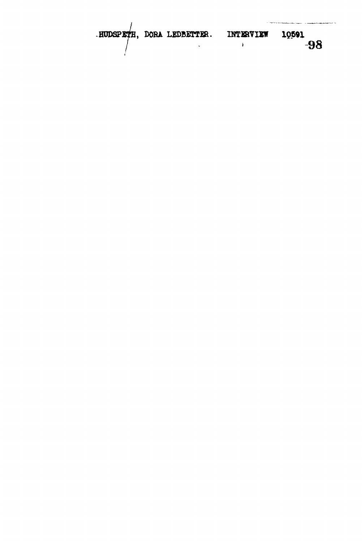**.HUDSPETH, DORA LEDBETTER. INTERVIEW** *PER.* INTERVIEW 10591<br> **198**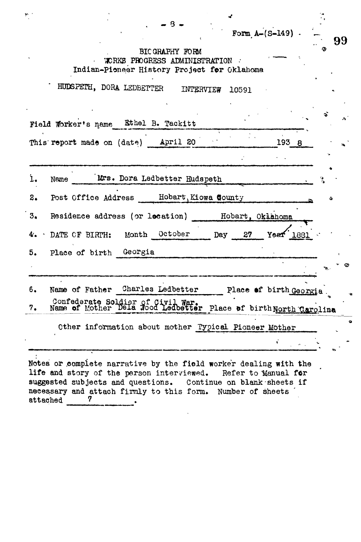|    | Form $A-(S-149)$ .<br>99                                                                             |
|----|------------------------------------------------------------------------------------------------------|
|    | BIC GRAPHY FORM<br>WORKS PROGRESS ADMINISTRATION<br>Indian-Pioneer History Project for Oklahoma      |
|    | HUDSPETH, DORA LEDBETTER<br>INTERVIEW 10591                                                          |
|    | Field Worker's name Ethel B. Tackitt                                                                 |
|    | This report made on (date) April 20<br>193 8                                                         |
| ı. | Mrs. Dora Ledbetter Hudspeth<br>Name                                                                 |
| 2. | Post Office Address Hobart, Kiowa County<br>ð                                                        |
| 3. | Residence address (or location) Hobart, Okiahoma                                                     |
| 4. | DATE CF BIRTH: Month October Day 27<br>Yeaf<br>1881                                                  |
| 5. | Place of birth Georgia                                                                               |
|    |                                                                                                      |
| 6. | Name of Father Charles Ledbetter Place of birth Georgia                                              |
| 7. | Confederate Soldier of Civil War.<br>Name of Mother Dela Hood Ledbetter Place of birthNorth Carolina |
|    | Other information about mother Typical Pioneer Mother                                                |
|    |                                                                                                      |

suggested subjects and questions. Continue on blank sheets if

 $\bar{\mathbf{v}}$ 

necessary and attach firmly to this form. Number of sheets attached 7  $\ddot{\phantom{a}}$ 

 $\label{eq:3.1} \mathcal{W}^{\mathcal{C}}_{\mathcal{C}} = \mathcal{C}$ 

 $\mathbf{r}$ 

 $\frac{1}{2}$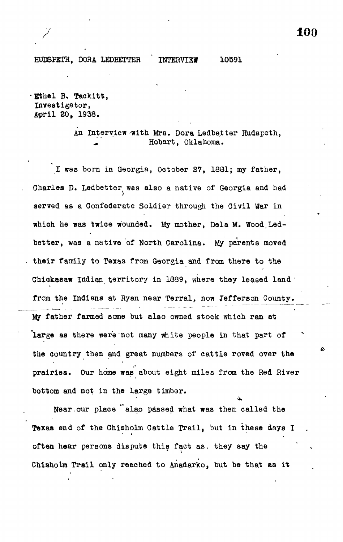HUDSPETH, DORA LEDBETTER INTERVIEW 10591

Ethel B. Taokitt, Investigator, April 30, 1938.

> An Interview with Mrs. Dora Ledbetter Hudspeth, Hobart, Oklahoma.

I was born in Georgia, October 27, 1881; my father, Charles D. Ledbetter was also a native of Georgia and had served as a Confederate Soldier through the Civil War in which he was twice wounded. My mother, Dela M. Wood.Ledbetter, was a native of North Carolina. My parents moved their family to Texas from Georgia and from there to the Chiokasaw Indian territory in 1889, where they leased land from the Indians at Ryan near Terral, now Jefferson County. My father farmed some but also owned stock which ran at large as there were not many white people in that part of the country then and great numbers of cattle roved over the prairies. Our home was about eight miles from the Red River bottom and not in the large timber.

Near, our place <sup>"also</sup> passed what was then called the Texas end of the Chisholm Cattle Trail, but in these days I often hear persons dispute this fact as. they say the Chisholm Trail only reached to Anadarko, but be that as it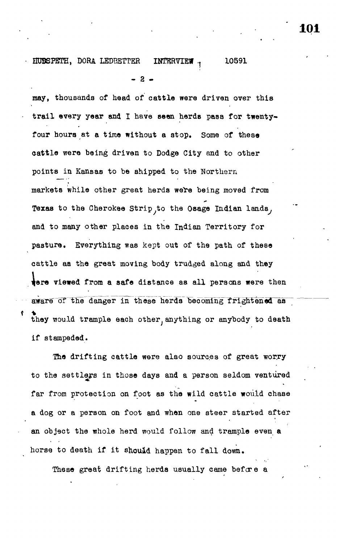## HUBSPETH, DORA LEDBETTER INTERVIEW - 10591

- 2 -

may, thousands of head of cattle were driven over this trail every year and I have seen herds pass for twentyfour hours at a time without a stop. Some of these cattle were being driven to Dodge City and to other points in Kansas to be shipped to the Northern markets While other great herds were being moved from Texas to the Cherokee Strip to the Osage Indian lands, and to many other places in the Indian Territory for pasture. Everything was kept out of the path of these cattle aa the great moving body trudged along and they fere viewed from a safe distance as all persons were then aware of the danger in these herds becoming frightened as they would trample each other, anything or anybody to death if stampeded.

The drifting cattle were also sources of great worry to the settlers in those days and a person seldom ventured far from protection on foot as the wild cattle would chase a dog or a person on foot and when one steer started after an object the whole herd would follow and trample even a horse to death if it should happen to fall down.

These great drifting herds usually came before a

**101**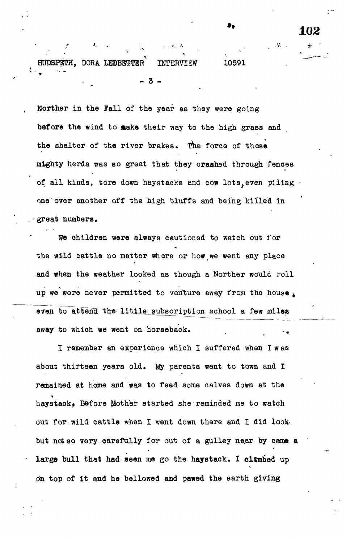HUDSPETH, DORA LEDBETTER INTERVIEW 10591 - 3 -

ι.

Norther in the Fall of the year as they were going before the wind to make their way to the high grass and the shelter of the river brakes. The force of these mighty herds was so great that they crashed through fenoes of all kinds, tore down haystacks and cow lots, even piling • one over another off the high bluffs and being killed in great numbers.

102

We children were always cautioned to watch out for the wild cattle no matter where or how we went any place and when the weather looked as though a Norther would roll up we were never permitted to venture away from the house, even to attend the little subscription school a few miles away to which we went on horseback.

I remember an experience which I suffered when I w as about thirteen years old. My parents went to town and I remained at home and was to feed some calves down at the haystack, Before Mother started she-reminded me to watch out for wild cattle when I went down there and I did look. but not so very carefully for out of a gulley near by came a large bull that had seen me go the haystack. I climbed up on top of it and he bellowed and pawed the earth giving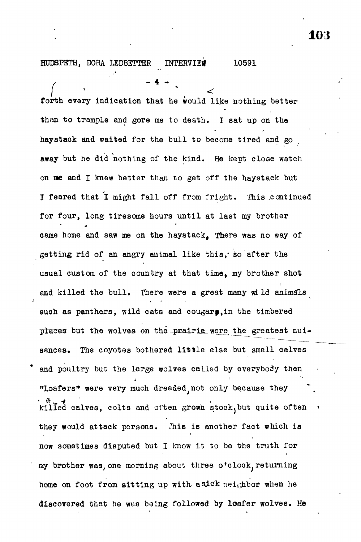## HODSPETH, DORA LEDBETTER INTERVIEW 10591

forth every indication that he would like nothing better than to trample and gore me to death. I sat up on the haystack and waited for the bull to become tired and go away but he did nothing of the kind. He kept close watch on me and I knew better than to get off the haystack but I feared that I might fall off from fright. This continued for four, long tiresome hours until at last my brother came home and saw me on the haystack, There was no way of getting rid of an angry animal like this,' so after the usual custom of the country at that time, my brother shot i and the bull. There were a great many were a great many wLID animals  $\mathcal{L}$ such as panthersi wild cats and cougarp,in the timbered places but the world world were the world were the world with the world were the second the second the second of the second the second of the second of the second of the second of the second of the second of the second of sances. sances. The coyotes bothered little else but small calves and poultry but the large wolves called by every but the large wolves called by every but the set of  $\alpha$ "Loafers" were very much dreaded not only because they killed calves, colts and often grown stock, but quite often they would attack persons. Chis is another fact which is now sometimes disputed but I know it to be the truth for my brother was, one morning about three o'clock, returning home on foot from sitting up with a sick neighbor when he discovered that he was being followed by loafer wolves. He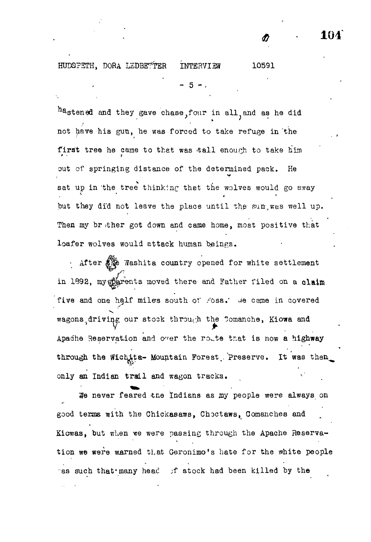HUD8PSTH, DORA LEDBE^TER IMTERVISW 10591

and they gave chase, four in all, and as he did not have his gun, he was forced to take refuge in the first tree he came to that was tall enough to take him out of springing distance of the determined pack. He sat up in the tree thinking thet the wolves would go away but they did not leave the place until the sun, was well up. Then my br ther got down and came home, most positive that loafer wolves would attack human beings.

- 5 - .

After  $\lim_{n\to\infty}$  Washita country opened for white settlement in 1892, my phrents moved there and Father filed on a claim five and one half miles south of Foss.' We came in covered wagons driving our stock through the Tomanche, Kiowa and  $\boldsymbol{y}$   $\boldsymbol{y}$   $\boldsymbol{y}$   $\boldsymbol{y}$   $\boldsymbol{y}$   $\boldsymbol{y}$   $\boldsymbol{y}$   $\boldsymbol{y}$   $\boldsymbol{y}$   $\boldsymbol{y}$ Apache Reservation and o^er the ro^.te that is now **a highway** through the Wichita- Mountain Forest Preserve. It was then only an Indian trail and wagon tracks.

We never feared the Indians as my people were always on good terms with the Chickasaws, Choctaws, Comanches and Kiowas, but when we were passing through the Apache Reservation we were warned that Geronimo's hate for the white people ras such that many head if stock had been killed by the

**0 104**